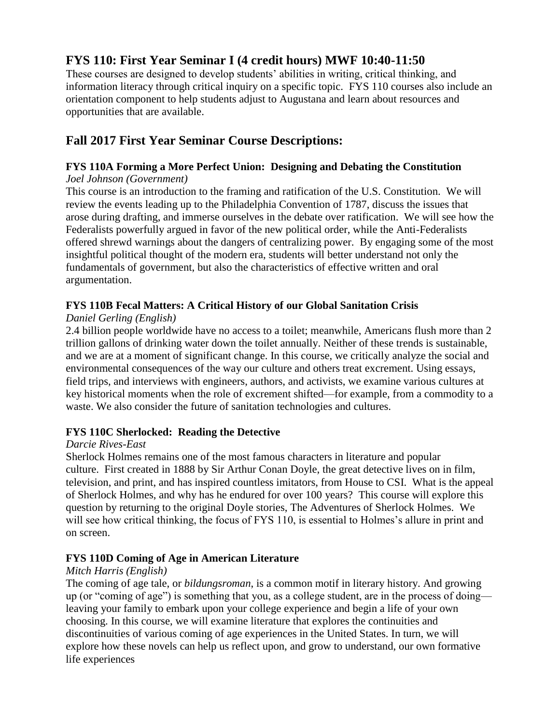# **FYS 110: First Year Seminar I (4 credit hours) MWF 10:40-11:50**

These courses are designed to develop students' abilities in writing, critical thinking, and information literacy through critical inquiry on a specific topic. FYS 110 courses also include an orientation component to help students adjust to Augustana and learn about resources and opportunities that are available.

# **Fall 2017 First Year Seminar Course Descriptions:**

#### **FYS 110A Forming a More Perfect Union: Designing and Debating the Constitution** *Joel Johnson (Government)*

This course is an introduction to the framing and ratification of the U.S. Constitution. We will review the events leading up to the Philadelphia Convention of 1787, discuss the issues that arose during drafting, and immerse ourselves in the debate over ratification. We will see how the Federalists powerfully argued in favor of the new political order, while the Anti-Federalists offered shrewd warnings about the dangers of centralizing power. By engaging some of the most insightful political thought of the modern era, students will better understand not only the fundamentals of government, but also the characteristics of effective written and oral argumentation.

#### **FYS 110B Fecal Matters: A Critical History of our Global Sanitation Crisis**

# *Daniel Gerling (English)*

2.4 billion people worldwide have no access to a toilet; meanwhile, Americans flush more than 2 trillion gallons of drinking water down the toilet annually. Neither of these trends is sustainable, and we are at a moment of significant change. In this course, we critically analyze the social and environmental consequences of the way our culture and others treat excrement. Using essays, field trips, and interviews with engineers, authors, and activists, we examine various cultures at key historical moments when the role of excrement shifted—for example, from a commodity to a waste. We also consider the future of sanitation technologies and cultures.

#### **FYS 110C Sherlocked: Reading the Detective**

#### *Darcie Rives-East*

Sherlock Holmes remains one of the most famous characters in literature and popular culture. First created in 1888 by Sir Arthur Conan Doyle, the great detective lives on in film, television, and print, and has inspired countless imitators, from House to CSI. What is the appeal of Sherlock Holmes, and why has he endured for over 100 years? This course will explore this question by returning to the original Doyle stories, The Adventures of Sherlock Holmes. We will see how critical thinking, the focus of FYS 110, is essential to Holmes's allure in print and on screen.

#### **FYS 110D Coming of Age in American Literature**

#### *Mitch Harris (English)*

The coming of age tale, or *bildungsroman*, is a common motif in literary history. And growing up (or "coming of age") is something that you, as a college student, are in the process of doing leaving your family to embark upon your college experience and begin a life of your own choosing. In this course, we will examine literature that explores the continuities and discontinuities of various coming of age experiences in the United States. In turn, we will explore how these novels can help us reflect upon, and grow to understand, our own formative life experiences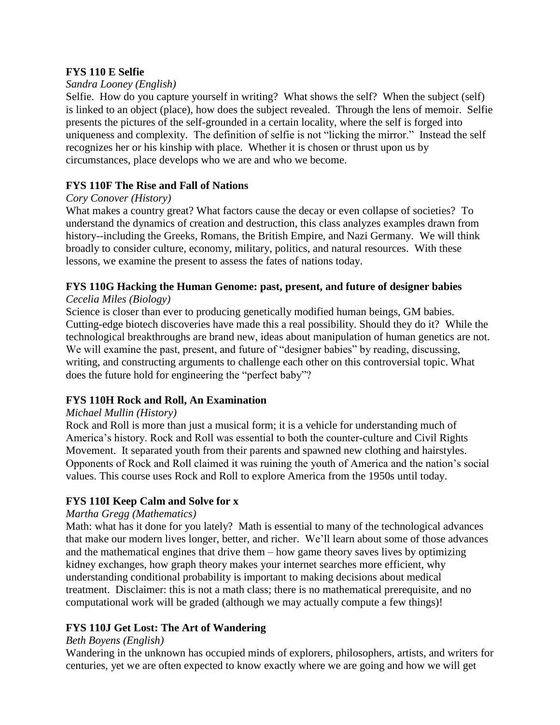#### **FYS 110 E Selfie**

#### *Sandra Looney (English)*

Selfie. How do you capture yourself in writing? What shows the self? When the subject (self) is linked to an object (place), how does the subject revealed. Through the lens of memoir. Selfie presents the pictures of the self-grounded in a certain locality, where the self is forged into uniqueness and complexity. The definition of selfie is not "licking the mirror." Instead the self recognizes her or his kinship with place. Whether it is chosen or thrust upon us by circumstances, place develops who we are and who we become.

#### **FYS 110F The Rise and Fall of Nations**

#### *Cory Conover (History)*

What makes a country great? What factors cause the decay or even collapse of societies? To understand the dynamics of creation and destruction, this class analyzes examples drawn from history--including the Greeks, Romans, the British Empire, and Nazi Germany. We will think broadly to consider culture, economy, military, politics, and natural resources. With these lessons, we examine the present to assess the fates of nations today.

# **FYS 110G Hacking the Human Genome: past, present, and future of designer babies**

# *Cecelia Miles (Biology)*

Science is closer than ever to producing genetically modified human beings, GM babies. Cutting-edge biotech discoveries have made this a real possibility. Should they do it? While the technological breakthroughs are brand new, ideas about manipulation of human genetics are not. We will examine the past, present, and future of "designer babies" by reading, discussing, writing, and constructing arguments to challenge each other on this controversial topic. What does the future hold for engineering the "perfect baby"?

#### **FYS 110H Rock and Roll, An Examination**

#### *Michael Mullin (History)*

Rock and Roll is more than just a musical form; it is a vehicle for understanding much of America's history. Rock and Roll was essential to both the counter-culture and Civil Rights Movement. It separated youth from their parents and spawned new clothing and hairstyles. Opponents of Rock and Roll claimed it was ruining the youth of America and the nation's social values. This course uses Rock and Roll to explore America from the 1950s until today.

#### **FYS 110I Keep Calm and Solve for x**

#### *Martha Gregg (Mathematics)*

Math: what has it done for you lately? Math is essential to many of the technological advances that make our modern lives longer, better, and richer. We'll learn about some of those advances and the mathematical engines that drive them – how game theory saves lives by optimizing kidney exchanges, how graph theory makes your internet searches more efficient, why understanding conditional probability is important to making decisions about medical treatment. Disclaimer: this is not a math class; there is no mathematical prerequisite, and no computational work will be graded (although we may actually compute a few things)!

#### **FYS 110J Get Lost: The Art of Wandering**

#### *Beth Boyens (English)*

Wandering in the unknown has occupied minds of explorers, philosophers, artists, and writers for centuries, yet we are often expected to know exactly where we are going and how we will get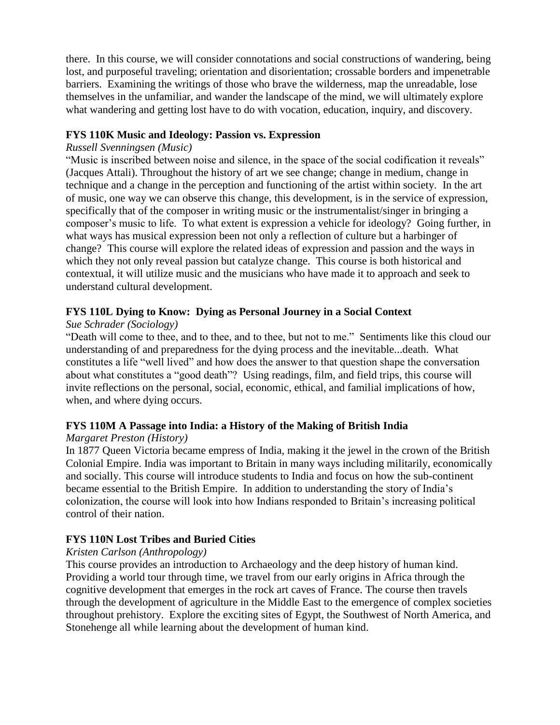there. In this course, we will consider connotations and social constructions of wandering, being lost, and purposeful traveling; orientation and disorientation; crossable borders and impenetrable barriers. Examining the writings of those who brave the wilderness, map the unreadable, lose themselves in the unfamiliar, and wander the landscape of the mind, we will ultimately explore what wandering and getting lost have to do with vocation, education, inquiry, and discovery.

#### **FYS 110K Music and Ideology: Passion vs. Expression**

#### *Russell Svenningsen (Music)*

"Music is inscribed between noise and silence, in the space of the social codification it reveals" (Jacques Attali). Throughout the history of art we see change; change in medium, change in technique and a change in the perception and functioning of the artist within society. In the art of music, one way we can observe this change, this development, is in the service of expression, specifically that of the composer in writing music or the instrumentalist/singer in bringing a composer's music to life. To what extent is expression a vehicle for ideology? Going further, in what ways has musical expression been not only a reflection of culture but a harbinger of change? This course will explore the related ideas of expression and passion and the ways in which they not only reveal passion but catalyze change. This course is both historical and contextual, it will utilize music and the musicians who have made it to approach and seek to understand cultural development.

# **FYS 110L Dying to Know: Dying as Personal Journey in a Social Context**

#### *Sue Schrader (Sociology)*

"Death will come to thee, and to thee, and to thee, but not to me." Sentiments like this cloud our understanding of and preparedness for the dying process and the inevitable...death. What constitutes a life "well lived" and how does the answer to that question shape the conversation about what constitutes a "good death"? Using readings, film, and field trips, this course will invite reflections on the personal, social, economic, ethical, and familial implications of how, when, and where dying occurs.

#### **FYS 110M A Passage into India: a History of the Making of British India**

#### *Margaret Preston (History)*

In 1877 Queen Victoria became empress of India, making it the jewel in the crown of the British Colonial Empire. India was important to Britain in many ways including militarily, economically and socially. This course will introduce students to India and focus on how the sub-continent became essential to the British Empire. In addition to understanding the story of India's colonization, the course will look into how Indians responded to Britain's increasing political control of their nation.

#### **FYS 110N Lost Tribes and Buried Cities**

#### *Kristen Carlson (Anthropology)*

This course provides an introduction to Archaeology and the deep history of human kind. Providing a world tour through time, we travel from our early origins in Africa through the cognitive development that emerges in the rock art caves of France. The course then travels through the development of agriculture in the Middle East to the emergence of complex societies throughout prehistory. Explore the exciting sites of Egypt, the Southwest of North America, and Stonehenge all while learning about the development of human kind.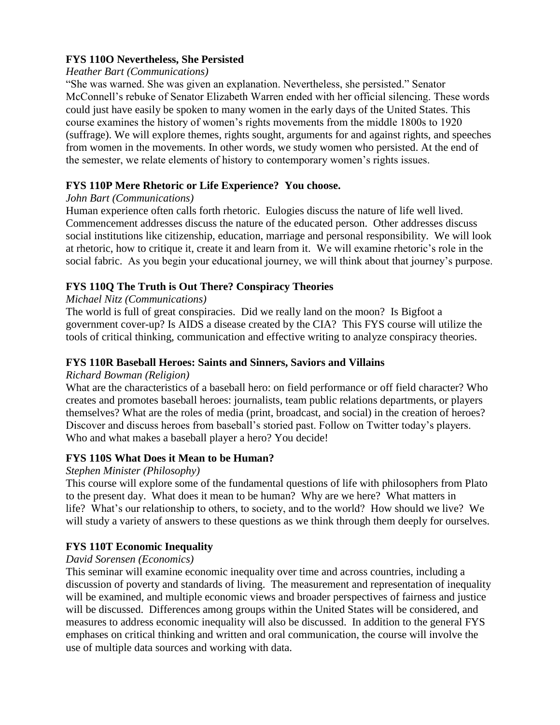#### **FYS 110O Nevertheless, She Persisted**

#### *Heather Bart (Communications)*

"She was warned. She was given an explanation. Nevertheless, she persisted." Senator McConnell's rebuke of Senator Elizabeth Warren ended with her official silencing. These words could just have easily be spoken to many women in the early days of the United States. This course examines the history of women's rights movements from the middle 1800s to 1920 (suffrage). We will explore themes, rights sought, arguments for and against rights, and speeches from women in the movements. In other words, we study women who persisted. At the end of the semester, we relate elements of history to contemporary women's rights issues.

# **FYS 110P Mere Rhetoric or Life Experience? You choose.**

#### *John Bart (Communications)*

Human experience often calls forth rhetoric. Eulogies discuss the nature of life well lived. Commencement addresses discuss the nature of the educated person. Other addresses discuss social institutions like citizenship, education, marriage and personal responsibility. We will look at rhetoric, how to critique it, create it and learn from it. We will examine rhetoric's role in the social fabric. As you begin your educational journey, we will think about that journey's purpose.

# **FYS 110Q The Truth is Out There? Conspiracy Theories**

#### *Michael Nitz (Communications)*

The world is full of great conspiracies. Did we really land on the moon? Is Bigfoot a government cover-up? Is AIDS a disease created by the CIA? This FYS course will utilize the tools of critical thinking, communication and effective writing to analyze conspiracy theories.

#### **FYS 110R Baseball Heroes: Saints and Sinners, Saviors and Villains**

#### *Richard Bowman (Religion)*

What are the characteristics of a baseball hero: on field performance or off field character? Who creates and promotes baseball heroes: journalists, team public relations departments, or players themselves? What are the roles of media (print, broadcast, and social) in the creation of heroes? Discover and discuss heroes from baseball's storied past. Follow on Twitter today's players. Who and what makes a baseball player a hero? You decide!

#### **FYS 110S What Does it Mean to be Human?**

#### *Stephen Minister (Philosophy)*

This course will explore some of the fundamental questions of life with philosophers from Plato to the present day. What does it mean to be human? Why are we here? What matters in life? What's our relationship to others, to society, and to the world? How should we live? We will study a variety of answers to these questions as we think through them deeply for ourselves.

# **FYS 110T Economic Inequality**

#### *David Sorensen (Economics)*

This seminar will examine economic inequality over time and across countries, including a discussion of poverty and standards of living. The measurement and representation of inequality will be examined, and multiple economic views and broader perspectives of fairness and justice will be discussed. Differences among groups within the United States will be considered, and measures to address economic inequality will also be discussed. In addition to the general FYS emphases on critical thinking and written and oral communication, the course will involve the use of multiple data sources and working with data.